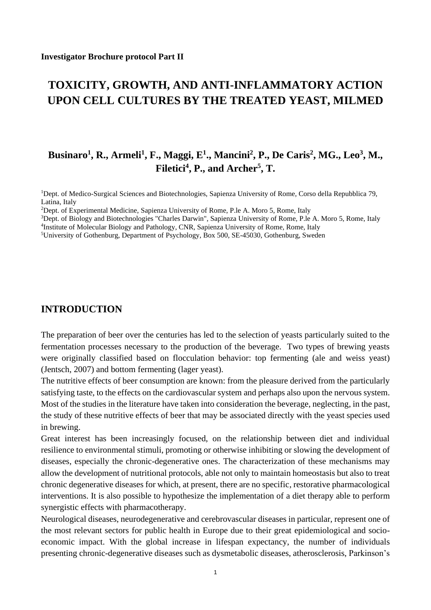# **TOXICITY, GROWTH, AND ANTI-INFLAMMATORY ACTION UPON CELL CULTURES BY THE TREATED YEAST, MILMED**

# **Businaro<sup>1</sup> , R., Armeli<sup>1</sup> , F., Maggi, E<sup>1</sup> ., Mancini<sup>2</sup> , P., De Caris<sup>2</sup> , MG., Leo<sup>3</sup> , M., Filetici<sup>4</sup> , P., and Archer<sup>5</sup> , T.**

<sup>1</sup>Dept. of Medico-Surgical Sciences and Biotechnologies, Sapienza University of Rome, Corso della Repubblica 79, Latina, Italy

<sup>2</sup>Dept. of Experimental Medicine, Sapienza University of Rome, P.le A. Moro 5, Rome, Italy

<sup>3</sup>Dept. of Biology and Biotechnologies "Charles Darwin", Sapienza University of Rome, P.le A. Moro 5, Rome, Italy

4 Institute of Molecular Biology and Pathology, CNR, Sapienza University of Rome, Rome, Italy

<sup>5</sup>University of Gothenburg, Department of Psychology, Box 500, SE-45030, Gothenburg, Sweden

## **INTRODUCTION**

The preparation of beer over the centuries has led to the selection of yeasts particularly suited to the fermentation processes necessary to the production of the beverage. Two types of brewing yeasts were originally classified based on flocculation behavior: top fermenting (ale and weiss yeast) (Jentsch, 2007) and bottom fermenting (lager yeast).

The nutritive effects of beer consumption are known: from the pleasure derived from the particularly satisfying taste, to the effects on the cardiovascular system and perhaps also upon the nervous system. Most of the studies in the literature have taken into consideration the beverage, neglecting, in the past, the study of these nutritive effects of beer that may be associated directly with the yeast species used in brewing.

Great interest has been increasingly focused, on the relationship between diet and individual resilience to environmental stimuli, promoting or otherwise inhibiting or slowing the development of diseases, especially the chronic-degenerative ones. The characterization of these mechanisms may allow the development of nutritional protocols, able not only to maintain homeostasis but also to treat chronic degenerative diseases for which, at present, there are no specific, restorative pharmacological interventions. It is also possible to hypothesize the implementation of a diet therapy able to perform synergistic effects with pharmacotherapy.

Neurological diseases, neurodegenerative and cerebrovascular diseases in particular, represent one of the most relevant sectors for public health in Europe due to their great epidemiological and socioeconomic impact. With the global increase in lifespan expectancy, the number of individuals presenting chronic-degenerative diseases such as dysmetabolic diseases, atherosclerosis, Parkinson's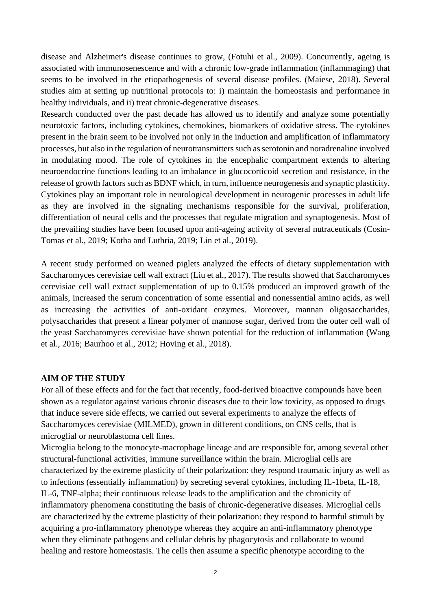disease and Alzheimer's disease continues to grow, (Fotuhi et al., 2009). Concurrently, ageing is associated with immunosenescence and with a chronic low-grade inflammation (inflammaging) that seems to be involved in the etiopathogenesis of several disease profiles. (Maiese, 2018). Several studies aim at setting up nutritional protocols to: i) maintain the homeostasis and performance in healthy individuals, and ii) treat chronic-degenerative diseases.

Research conducted over the past decade has allowed us to identify and analyze some potentially neurotoxic factors, including cytokines, chemokines, biomarkers of oxidative stress. The cytokines present in the brain seem to be involved not only in the induction and amplification of inflammatory processes, but also in the regulation of neurotransmitters such as serotonin and noradrenaline involved in modulating mood. The role of cytokines in the encephalic compartment extends to altering neuroendocrine functions leading to an imbalance in glucocorticoid secretion and resistance, in the release of growth factors such as BDNF which, in turn, influence neurogenesis and synaptic plasticity. Cytokines play an important role in neurological development in neurogenic processes in adult life as they are involved in the signaling mechanisms responsible for the survival, proliferation, differentiation of neural cells and the processes that regulate migration and synaptogenesis. Most of the prevailing studies have been focused upon anti-ageing activity of several nutraceuticals (Cosin-Tomas et al., 2019; Kotha and Luthria, 2019; Lin et al., 2019).

A recent study performed on weaned piglets analyzed the effects of dietary supplementation with Saccharomyces cerevisiae cell wall extract (Liu et al., 2017). The results showed that Saccharomyces cerevisiae cell wall extract supplementation of up to 0.15% produced an improved growth of the animals, increased the serum concentration of some essential and nonessential amino acids, as well as increasing the activities of anti-oxidant enzymes. Moreover, mannan oligosaccharides, polysaccharides that present a linear polymer of mannose sugar, derived from the outer cell wall of the yeast Saccharomyces cerevisiae have shown potential for the reduction of inflammation (Wang et al., 2016; Baurhoo et al., 2012; Hoving et al., 2018).

#### **AIM OF THE STUDY**

For all of these effects and for the fact that recently, food-derived bioactive compounds have been shown as a regulator against various chronic diseases due to their low toxicity, as opposed to drugs that induce severe side effects, we carried out several experiments to analyze the effects of Saccharomyces cerevisiae (MILMED), grown in different conditions, on CNS cells, that is microglial or neuroblastoma cell lines.

Microglia belong to the monocyte-macrophage lineage and are responsible for, among several other structural-functional activities, immune surveillance within the brain. Microglial cells are characterized by the extreme plasticity of their polarization: they respond traumatic injury as well as to infections (essentially inflammation) by secreting several cytokines, including IL-1beta, IL-18, IL-6, TNF-alpha; their continuous release leads to the amplification and the chronicity of inflammatory phenomena constituting the basis of chronic-degenerative diseases. Microglial cells are characterized by the extreme plasticity of their polarization: they respond to harmful stimuli by acquiring a pro-inflammatory phenotype whereas they acquire an anti-inflammatory phenotype when they eliminate pathogens and cellular debris by phagocytosis and collaborate to wound healing and restore homeostasis. The cells then assume a specific phenotype according to the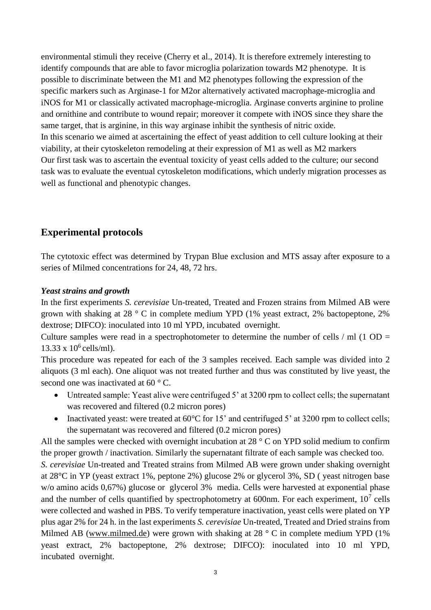environmental stimuli they receive (Cherry et al., 2014). It is therefore extremely interesting to identify compounds that are able to favor microglia polarization towards M2 phenotype. It is possible to discriminate between the M1 and M2 phenotypes following the expression of the specific markers such as Arginase-1 for M2or alternatively activated macrophage-microglia and iNOS for M1 or classically activated macrophage-microglia. Arginase converts arginine to proline and ornithine and contribute to wound repair; moreover it compete with iNOS since they share the same target, that is arginine, in this way arginase inhibit the synthesis of nitric oxide. In this scenario we aimed at ascertaining the effect of yeast addition to cell culture looking at their viability, at their cytoskeleton remodeling at their expression of M1 as well as M2 markers Our first task was to ascertain the eventual toxicity of yeast cells added to the culture; our second task was to evaluate the eventual cytoskeleton modifications, which underly migration processes as well as functional and phenotypic changes.

## **Experimental protocols**

The cytotoxic effect was determined by Trypan Blue exclusion and MTS assay after exposure to a series of Milmed concentrations for 24, 48, 72 hrs.

## *Yeast strains and growth*

In the first experiments *S. cerevisiae* Un-treated, Treated and Frozen strains from Milmed AB were grown with shaking at 28 ° C in complete medium YPD (1% yeast extract, 2% bactopeptone, 2% dextrose; DIFCO): inoculated into 10 ml YPD, incubated overnight.

Culture samples were read in a spectrophotometer to determine the number of cells  $/$  ml (1 OD = 13.33 x 10<sup>6</sup> cells/ml).

This procedure was repeated for each of the 3 samples received. Each sample was divided into 2 aliquots (3 ml each). One aliquot was not treated further and thus was constituted by live yeast, the second one was inactivated at 60 °C.

- Untreated sample: Yeast alive were centrifuged 5' at 3200 rpm to collect cells; the supernatant was recovered and filtered (0.2 micron pores)
- Inactivated yeast: were treated at 60°C for 15' and centrifuged 5' at 3200 rpm to collect cells; the supernatant was recovered and filtered (0.2 micron pores)

All the samples were checked with overnight incubation at 28 ° C on YPD solid medium to confirm the proper growth / inactivation. Similarly the supernatant filtrate of each sample was checked too.

*S. cerevisiae* Un-treated and Treated strains from Milmed AB were grown under shaking overnight at 28°C in YP (yeast extract 1%, peptone 2%) glucose 2% or glycerol 3%, SD ( yeast nitrogen base w/o amino acids 0,67%) glucose or glycerol 3% media. Cells were harvested at exponential phase and the number of cells quantified by spectrophotometry at 600nm. For each experiment,  $10<sup>7</sup>$  cells were collected and washed in PBS. To verify temperature inactivation, yeast cells were plated on YP plus agar 2% for 24 h. in the last experiments *S. cerevisiae* Un-treated, Treated and Dried strains from Milmed AB [\(www.milmed.de\)](http://www.milmed.de/) were grown with shaking at 28  $\degree$  C in complete medium YPD (1%) yeast extract, 2% bactopeptone, 2% dextrose; DIFCO): inoculated into 10 ml YPD, incubated overnight.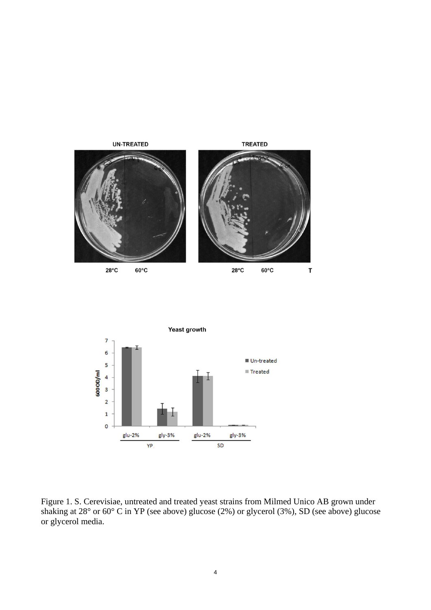



Figure 1. S. Cerevisiae, untreated and treated yeast strains from Milmed Unico AB grown under shaking at 28° or 60° C in YP (see above) glucose (2%) or glycerol (3%), SD (see above) glucose or glycerol media.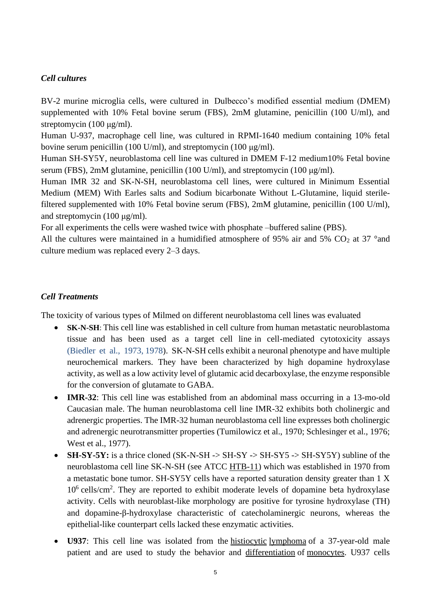## *Cell cultures*

BV-2 murine microglia cells, were cultured in Dulbecco's modified essential medium (DMEM) supplemented with 10% Fetal bovine serum (FBS), 2mM glutamine, penicillin (100 U/ml), and streptomycin (100 μg/ml).

Human U-937, macrophage cell line, was cultured in RPMI-1640 medium containing 10% fetal bovine serum penicillin (100 U/ml), and streptomycin (100 μg/ml).

Human SH-SY5Y, neuroblastoma cell line was cultured in DMEM F-12 medium10% Fetal bovine serum (FBS), 2mM glutamine, penicillin (100 U/ml), and streptomycin (100 μg/ml).

Human IMR 32 and SK-N-SH, neuroblastoma cell lines, were cultured in Minimum Essential Medium (MEM) With Earles salts and Sodium bicarbonate Without L-Glutamine, liquid sterilefiltered supplemented with 10% Fetal bovine serum (FBS), 2mM glutamine, penicillin (100 U/ml), and streptomycin (100 μg/ml).

For all experiments the cells were washed twice with phosphate –buffered saline (PBS).

All the cultures were maintained in a humidified atmosphere of 95% air and 5%  $CO<sub>2</sub>$  at 37 °and culture medium was replaced every 2–3 days.

### *Cell Treatments*

The toxicity of various types of Milmed on different neuroblastoma cell lines was evaluated

- **SK-N-SH**: This cell line was established in cell culture from human metastatic neuroblastoma tissue and has been used as a target cell line in cell-mediated cytotoxicity assays (Biedler et al., 1973, 1978). SK-N-SH cells exhibit a neuronal phenotype and have multiple neurochemical markers. They have been characterized by high dopamine hydroxylase activity, as well as a low activity level of glutamic acid decarboxylase, the enzyme responsible for the conversion of glutamate to GABA.
- **IMR-32**: This cell line was established from an abdominal mass occurring in a 13-mo-old Caucasian male. The human neuroblastoma cell line IMR-32 exhibits both cholinergic and adrenergic properties. The IMR-32 human neuroblastoma cell line expresses both cholinergic and adrenergic neurotransmitter properties (Tumilowicz et al., 1970; Schlesinger et al., 1976; West et al., 1977).
- **SH-SY-5Y:** is a thrice cloned (SK-N-SH -> SH-SY -> SH-SY5 -> SH-SY5Y) subline of the neuroblastoma cell line SK-N-SH (see ATCC [HTB-11\)](https://www.lgcstandards-atcc.org/products/all/HTB-11.aspx) which was established in 1970 from a metastatic bone tumor. SH-SY5Y cells have a reported saturation density greater than 1 X 10<sup>6</sup> cells/cm<sup>2</sup>. They are reported to exhibit moderate levels of dopamine beta hydroxylase activity. Cells with neuroblast-like morphology are positive for tyrosine hydroxylase (TH) and dopamine-β-hydroxylase characteristic of catecholaminergic neurons, whereas the epithelial-like counterpart cells lacked these enzymatic activities.
- **U937**: This cell line was isolated from the <u>[histiocytic](https://en.wikipedia.org/wiki/Histiocytic) [lymphoma](https://en.wikipedia.org/wiki/Lymphoma)</u> of a 37-year-old male patient and are used to study the behavior and [differentiation](https://en.wikipedia.org/wiki/Cellular_differentiation) of [monocytes.](https://en.wikipedia.org/wiki/Monocytes) U937 cells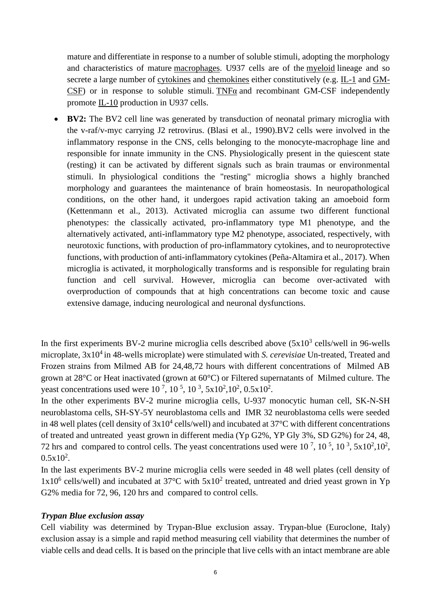mature and differentiate in response to a number of soluble stimuli, adopting the morphology and characteristics of mature [macrophages.](https://en.wikipedia.org/wiki/Macrophage) U937 cells are of the [myeloid](https://en.wikipedia.org/wiki/Myeloid_cell) lineage and so secrete a large number of [cytokines](https://en.wikipedia.org/wiki/Cytokines) and [chemokines](https://en.wikipedia.org/wiki/Chemokines) either constitutively (e.g.  $L_1$  and  $GM$ -[CSF\)](https://en.wikipedia.org/wiki/GM-CSF) or in response to soluble stimuli. TNF $\alpha$  and recombinant GM-CSF independently promote [IL-10](https://en.wikipedia.org/wiki/Interleukin_10) production in U937 cells.

• **BV2:** The BV2 cell line was generated by transduction of neonatal primary microglia with the v-raf/v-myc carrying J2 retrovirus. [\(Blasi et al., 1990\)](https://www.ncbi.nlm.nih.gov/pmc/articles/PMC6087748/#B9).BV2 cells were involved in the inflammatory response in the CNS, cells belonging to the monocyte-macrophage line and responsible for innate immunity in the CNS. Physiologically present in the quiescent state (resting) it can be activated by different signals such as brain traumas or environmental stimuli. In physiological conditions the "resting" microglia shows a highly branched morphology and guarantees the maintenance of brain homeostasis. In neuropathological conditions, on the other hand, it undergoes rapid activation taking an amoeboid form (Kettenmann et al., 2013). Activated microglia can assume two different functional phenotypes: the classically activated, pro-inflammatory type M1 phenotype, and the alternatively activated, anti-inflammatory type M2 phenotype, associated, respectively, with neurotoxic functions, with production of pro-inflammatory cytokines, and to neuroprotective functions, with production of anti-inflammatory cytokines (Peña-Altamira et al., 2017). When microglia is activated, it morphologically transforms and is responsible for regulating brain function and cell survival. However, microglia can become over-activated with overproduction of compounds that at high concentrations can become toxic and cause extensive damage, inducing neurological and neuronal dysfunctions.

In the first experiments BV-2 murine microglia cells described above  $(5x10^3 \text{ cells/well in } 96$ -wells microplate,  $3x10^4$  in 48-wells microplate) were stimulated with *S. cerevisiae* Un-treated, Treated and Frozen strains from Milmed AB for 24,48,72 hours with different concentrations of Milmed AB grown at 28°C or Heat inactivated (grown at 60°C) or Filtered supernatants of Milmed culture. The yeast concentrations used were  $10^7$ ,  $10^5$ ,  $10^3$ ,  $5x10^2$ ,  $10^2$ ,  $0.5x10^2$ .

In the other experiments BV-2 murine microglia cells, U-937 monocytic human cell, SK-N-SH neuroblastoma cells, SH-SY-5Y neuroblastoma cells and IMR 32 neuroblastoma cells were seeded in 48 well plates (cell density of  $3x10^4$  cells/well) and incubated at  $37^{\circ}$ C with different concentrations of treated and untreated yeast grown in different media (Yp G2%, YP Gly 3%, SD G2%) for 24, 48, 72 hrs and compared to control cells. The yeast concentrations used were  $10^7$ ,  $10^5$ ,  $10^3$ ,  $5 \times 10^2$ ,  $10^2$ ,  $0.5x10^2$ .

In the last experiments BV-2 murine microglia cells were seeded in 48 well plates (cell density of  $1x10^6$  cells/well) and incubated at 37°C with  $5x10^2$  treated, untreated and dried yeast grown in Yp G2% media for 72, 96, 120 hrs and compared to control cells.

#### *Trypan Blue exclusion assay*

Cell viability was determined by Trypan-Blue exclusion assay. Trypan-blue (Euroclone, Italy) exclusion assay is a simple and rapid method measuring cell viability that determines the number of viable cells and dead cells. It is based on the principle that live cells with an intact membrane are able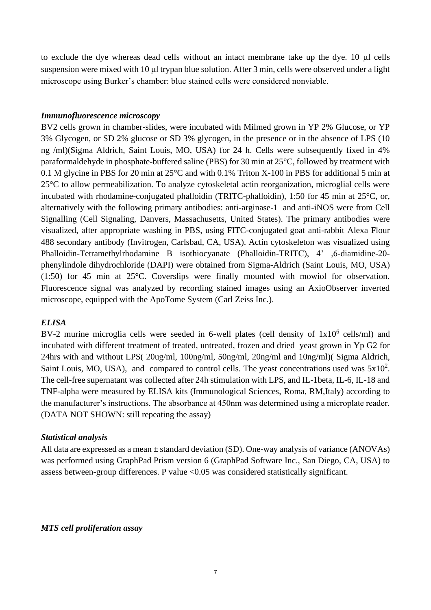to exclude the dye whereas dead cells without an intact membrane take up the dye.  $10 \mu l$  cells suspension were mixed with 10 µl trypan blue solution. After 3 min, cells were observed under a light microscope using Burker's chamber: blue stained cells were considered nonviable.

### *Immunofluorescence microscopy*

BV2 cells grown in chamber-slides, were incubated with Milmed grown in YP 2% Glucose, or YP 3% Glycogen, or SD 2% glucose or SD 3% glycogen, in the presence or in the absence of LPS (10 ng /ml)(Sigma Aldrich, Saint Louis, MO, USA) for 24 h. Cells were subsequently fixed in 4% paraformaldehyde in phosphate-buffered saline (PBS) for 30 min at 25°C, followed by treatment with 0.1 M glycine in PBS for 20 min at 25°C and with 0.1% Triton X-100 in PBS for additional 5 min at 25°C to allow permeabilization. To analyze cytoskeletal actin reorganization, microglial cells were incubated with rhodamine-conjugated phalloidin (TRITC-phalloidin), 1:50 for 45 min at 25°C, or, alternatively with the following primary antibodies: anti-arginase-1 and anti-iNOS were from Cell Signalling (Cell Signaling, Danvers, Massachusetts, United States). The primary antibodies were visualized, after appropriate washing in PBS, using FITC-conjugated goat anti-rabbit Alexa Flour 488 secondary antibody (Invitrogen, Carlsbad, CA, USA). Actin cytoskeleton was visualized using Phalloidin-Tetramethylrhodamine B isothiocyanate (Phalloidin-TRITC), 4' ,6-diamidine-20 phenylindole dihydrochloride (DAPI) were obtained from Sigma-Aldrich (Saint Louis, MO, USA) (1:50) for 45 min at 25°C. Coverslips were finally mounted with mowiol for observation. Fluorescence signal was analyzed by recording stained images using an AxioObserver inverted microscope, equipped with the ApoTome System (Carl Zeiss Inc.).

## *ELISA*

BV-2 murine microglia cells were seeded in 6-well plates (cell density of  $1x10^6$  cells/ml) and incubated with different treatment of treated, untreated, frozen and dried yeast grown in Yp G2 for 24hrs with and without LPS( 20ug/ml, 100ng/ml, 50ng/ml, 20ng/ml and 10ng/ml)( Sigma Aldrich, Saint Louis, MO, USA), and compared to control cells. The yeast concentrations used was  $5x10^2$ . The cell-free supernatant was collected after 24h stimulation with LPS, and IL-1beta, IL-6, IL-18 and TNF-alpha were measured by ELISA kits (Immunological Sciences, Roma, RM,Italy) according to the manufacturer's instructions. The absorbance at 450nm was determined using a microplate reader. (DATA NOT SHOWN: still repeating the assay)

## *Statistical analysis*

All data are expressed as a mean ± standard deviation (SD). One-way analysis of variance (ANOVAs) was performed using GraphPad Prism version 6 (GraphPad Software Inc., San Diego, CA, USA) to assess between-group differences. P value <0.05 was considered statistically significant.

*MTS cell proliferation assay*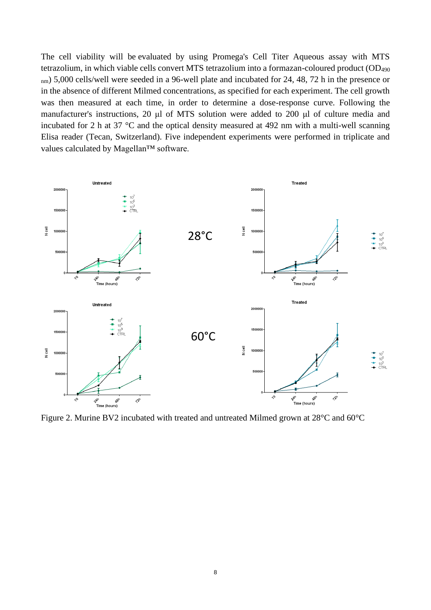The cell viability will be evaluated by using Promega's Cell Titer Aqueous assay with MTS tetrazolium, in which viable cells convert MTS tetrazolium into a formazan-coloured product (OD<sup>490</sup> nm) 5,000 cells/well were seeded in a 96-well plate and incubated for 24, 48, 72 h in the presence or in the absence of different Milmed concentrations, as specified for each experiment. The cell growth was then measured at each time, in order to determine a dose-response curve. Following the manufacturer's instructions, 20 μl of MTS solution were added to 200 μl of culture media and incubated for 2 h at 37 °C and the optical density measured at 492 nm with a multi-well scanning Elisa reader (Tecan, Switzerland). Five independent experiments were performed in triplicate and values calculated by Magellan™ software.



Figure 2. Murine BV2 incubated with treated and untreated Milmed grown at 28°C and 60°C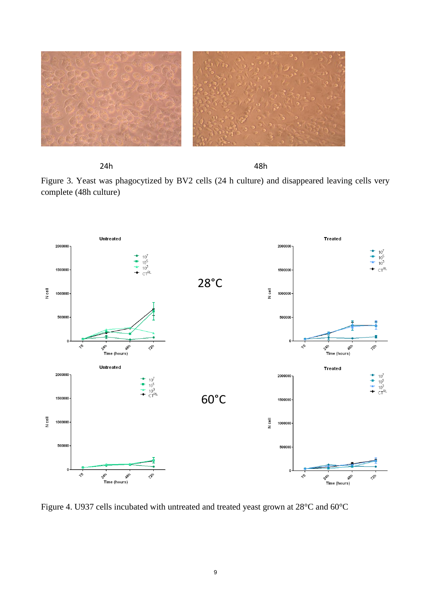

24h **48h** 48h

Figure 3. Yeast was phagocytized by BV2 cells (24 h culture) and disappeared leaving cells very complete (48h culture)



Figure 4. U937 cells incubated with untreated and treated yeast grown at 28°C and 60°C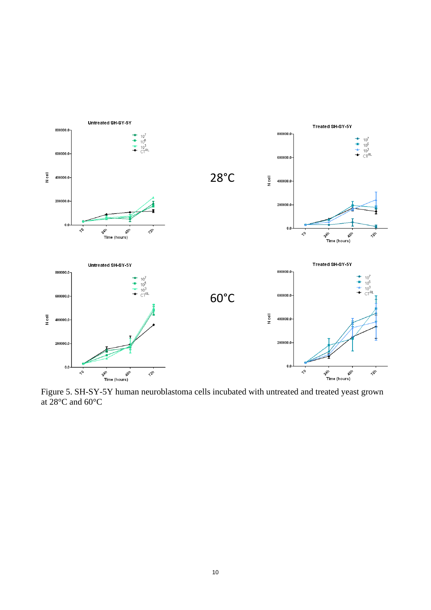

Figure 5. SH-SY-5Y human neuroblastoma cells incubated with untreated and treated yeast grown at 28°C and 60°C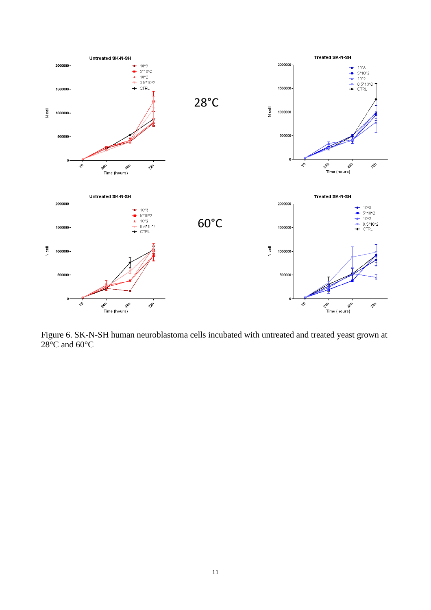

Figure 6. SK-N-SH human neuroblastoma cells incubated with untreated and treated yeast grown at  $28^{\circ}$ C and 60 $^{\circ}$ C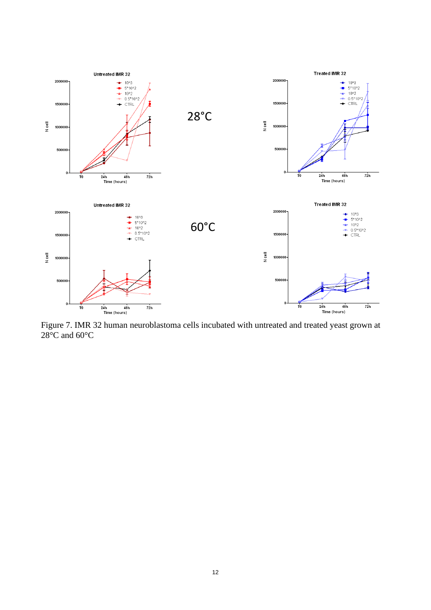

Figure 7. IMR 32 human neuroblastoma cells incubated with untreated and treated yeast grown at 28°C and 60°C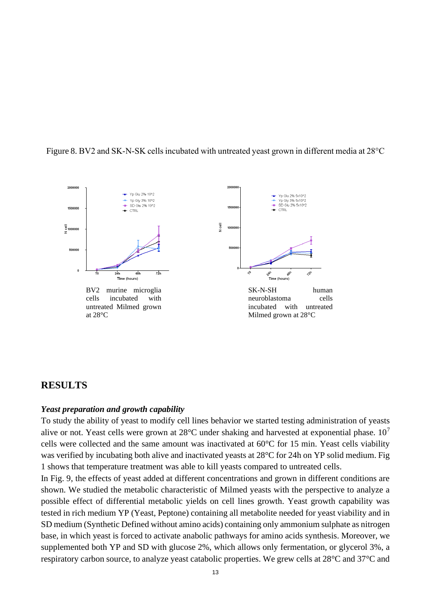



## **RESULTS**

#### *Yeast preparation and growth capability*

To study the ability of yeast to modify cell lines behavior we started testing administration of yeasts alive or not. Yeast cells were grown at  $28^{\circ}$ C under shaking and harvested at exponential phase.  $10^7$ cells were collected and the same amount was inactivated at 60°C for 15 min. Yeast cells viability was verified by incubating both alive and inactivated yeasts at 28°C for 24h on YP solid medium. Fig 1 shows that temperature treatment was able to kill yeasts compared to untreated cells.

In Fig. 9, the effects of yeast added at different concentrations and grown in different conditions are shown. We studied the metabolic characteristic of Milmed yeasts with the perspective to analyze a possible effect of differential metabolic yields on cell lines growth. Yeast growth capability was tested in rich medium YP (Yeast, Peptone) containing all metabolite needed for yeast viability and in SD medium (Synthetic Defined without amino acids) containing only ammonium sulphate as nitrogen base, in which yeast is forced to activate anabolic pathways for amino acids synthesis. Moreover, we supplemented both YP and SD with glucose 2%, which allows only fermentation, or glycerol 3%, a respiratory carbon source, to analyze yeast catabolic properties. We grew cells at 28°C and 37°C and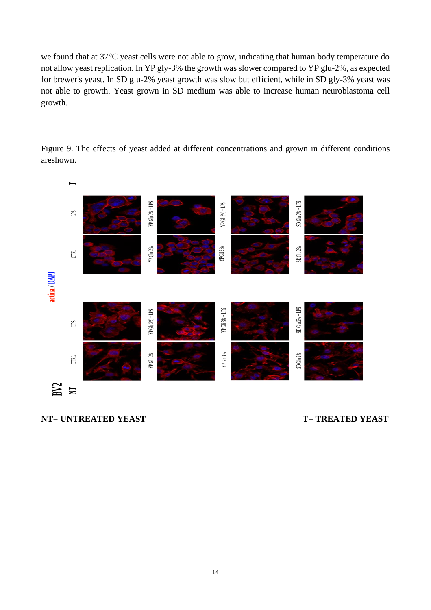we found that at 37°C yeast cells were not able to grow, indicating that human body temperature do not allow yeast replication. In YP gly-3% the growth was slower compared to YP glu-2%, as expected for brewer's yeast. In SD glu-2% yeast growth was slow but efficient, while in SD gly-3% yeast was not able to growth. Yeast grown in SD medium was able to increase human neuroblastoma cell growth.



Figure 9. The effects of yeast added at different concentrations and grown in different conditions areshown.

**NT= UNTREATED YEAST T= TREATED YEAST**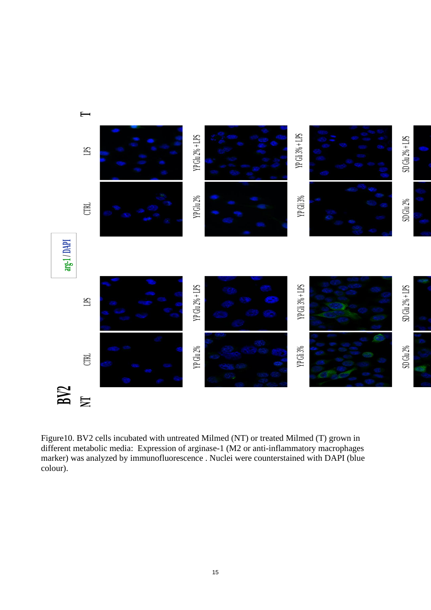

Figure10. BV2 cells incubated with untreated Milmed (NT) or treated Milmed (T) grown in different metabolic media: Expression of arginase-1 (M2 or anti-inflammatory macrophages marker) was analyzed by immunofluorescence . Nuclei were counterstained with DAPI (blue colour).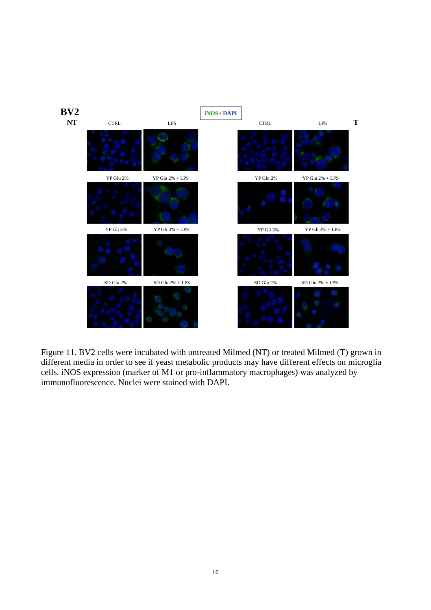

Figure 11. BV2 cells were incubated with untreated Milmed (NT) or treated Milmed (T) grown in different media in order to see if yeast metabolic products may have different effects on microglia cells. iNOS expression (marker of M1 or pro-inflammatory macrophages) was analyzed by immunofluorescence. Nuclei were stained with DAPI.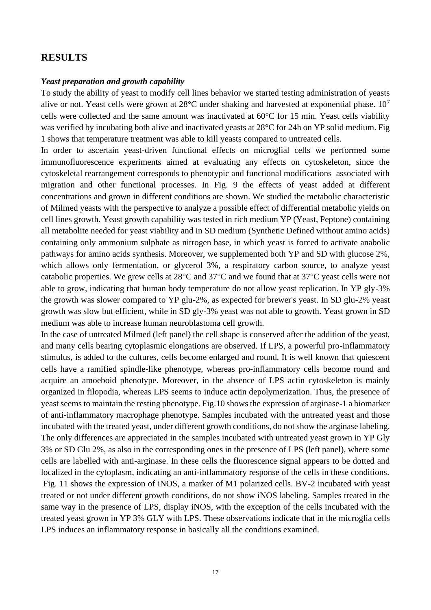## **RESULTS**

#### *Yeast preparation and growth capability*

To study the ability of yeast to modify cell lines behavior we started testing administration of yeasts alive or not. Yeast cells were grown at  $28^{\circ}$ C under shaking and harvested at exponential phase.  $10^7$ cells were collected and the same amount was inactivated at 60°C for 15 min. Yeast cells viability was verified by incubating both alive and inactivated yeasts at 28°C for 24h on YP solid medium. Fig 1 shows that temperature treatment was able to kill yeasts compared to untreated cells.

In order to ascertain yeast-driven functional effects on microglial cells we performed some immunofluorescence experiments aimed at evaluating any effects on cytoskeleton, since the cytoskeletal rearrangement corresponds to phenotypic and functional modifications associated with migration and other functional processes. In Fig. 9 the effects of yeast added at different concentrations and grown in different conditions are shown. We studied the metabolic characteristic of Milmed yeasts with the perspective to analyze a possible effect of differential metabolic yields on cell lines growth. Yeast growth capability was tested in rich medium YP (Yeast, Peptone) containing all metabolite needed for yeast viability and in SD medium (Synthetic Defined without amino acids) containing only ammonium sulphate as nitrogen base, in which yeast is forced to activate anabolic pathways for amino acids synthesis. Moreover, we supplemented both YP and SD with glucose 2%, which allows only fermentation, or glycerol 3%, a respiratory carbon source, to analyze yeast catabolic properties. We grew cells at 28°C and 37°C and we found that at 37°C yeast cells were not able to grow, indicating that human body temperature do not allow yeast replication. In YP gly-3% the growth was slower compared to YP glu-2%, as expected for brewer's yeast. In SD glu-2% yeast growth was slow but efficient, while in SD gly-3% yeast was not able to growth. Yeast grown in SD medium was able to increase human neuroblastoma cell growth.

In the case of untreated Milmed (left panel) the cell shape is conserved after the addition of the yeast, and many cells bearing cytoplasmic elongations are observed. If LPS, a powerful pro-inflammatory stimulus, is added to the cultures, cells become enlarged and round. It is well known that quiescent cells have a ramified spindle-like phenotype, whereas pro-inflammatory cells become round and acquire an amoeboid phenotype. Moreover, in the absence of LPS actin cytoskeleton is mainly organized in filopodia, whereas LPS seems to induce actin depolymerization. Thus, the presence of yeast seems to maintain the resting phenotype. Fig.10 shows the expression of arginase-1 a biomarker of anti-inflammatory macrophage phenotype. Samples incubated with the untreated yeast and those incubated with the treated yeast, under different growth conditions, do not show the arginase labeling. The only differences are appreciated in the samples incubated with untreated yeast grown in YP Gly 3% or SD Glu 2%, as also in the corresponding ones in the presence of LPS (left panel), where some cells are labelled with anti-arginase. In these cells the fluorescence signal appears to be dotted and localized in the cytoplasm, indicating an anti-inflammatory response of the cells in these conditions. Fig. 11 shows the expression of iNOS, a marker of M1 polarized cells. BV-2 incubated with yeast treated or not under different growth conditions, do not show iNOS labeling. Samples treated in the same way in the presence of LPS, display iNOS, with the exception of the cells incubated with the treated yeast grown in YP 3% GLY with LPS. These observations indicate that in the microglia cells LPS induces an inflammatory response in basically all the conditions examined.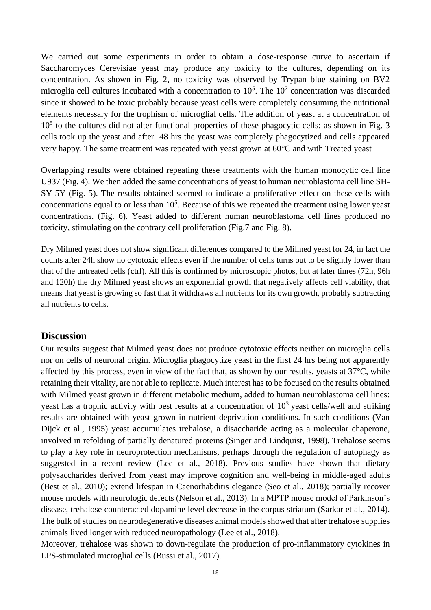We carried out some experiments in order to obtain a dose-response curve to ascertain if Saccharomyces Cerevisiae yeast may produce any toxicity to the cultures, depending on its concentration. As shown in Fig. 2, no toxicity was observed by Trypan blue staining on BV2 microglia cell cultures incubated with a concentration to  $10^5$ . The  $10^7$  concentration was discarded since it showed to be toxic probably because yeast cells were completely consuming the nutritional elements necessary for the trophism of microglial cells. The addition of yeast at a concentration of 10<sup>5</sup> to the cultures did not alter functional properties of these phagocytic cells: as shown in Fig. 3 cells took up the yeast and after 48 hrs the yeast was completely phagocytized and cells appeared very happy. The same treatment was repeated with yeast grown at 60°C and with Treated yeast

Overlapping results were obtained repeating these treatments with the human monocytic cell line U937 (Fig. 4). We then added the same concentrations of yeast to human neuroblastoma cell line SH-SY-5Y (Fig. 5). The results obtained seemed to indicate a proliferative effect on these cells with concentrations equal to or less than  $10<sup>5</sup>$ . Because of this we repeated the treatment using lower yeast concentrations. (Fig. 6). Yeast added to different human neuroblastoma cell lines produced no toxicity, stimulating on the contrary cell proliferation (Fig.7 and Fig. 8).

Dry Milmed yeast does not show significant differences compared to the Milmed yeast for 24, in fact the counts after 24h show no cytotoxic effects even if the number of cells turns out to be slightly lower than that of the untreated cells (ctrl). All this is confirmed by microscopic photos, but at later times (72h, 96h and 120h) the dry Milmed yeast shows an exponential growth that negatively affects cell viability, that means that yeast is growing so fast that it withdraws all nutrients for its own growth, probably subtracting all nutrients to cells.

#### **Discussion**

Our results suggest that Milmed yeast does not produce cytotoxic effects neither on microglia cells nor on cells of neuronal origin. Microglia phagocytize yeast in the first 24 hrs being not apparently affected by this process, even in view of the fact that, as shown by our results, yeasts at 37°C, while retaining their vitality, are not able to replicate. Much interest has to be focused on the results obtained with Milmed yeast grown in different metabolic medium, added to human neuroblastoma cell lines: yeast has a trophic activity with best results at a concentration of  $10<sup>3</sup>$  yeast cells/well and striking results are obtained with yeast grown in nutrient deprivation conditions. In such conditions (Van Dijck et al., 1995) yeast accumulates trehalose, a disaccharide acting as a molecular chaperone, involved in refolding of partially denatured proteins (Singer and Lindquist, 1998). Trehalose seems to play a key role in neuroprotection mechanisms, perhaps through the regulation of autophagy as suggested in a recent review (Lee et al., 2018). Previous studies have shown that dietary polysaccharides derived from yeast may improve cognition and well-being in middle-aged adults (Best et al., 2010); extend lifespan in Caenorhabditis elegance (Seo et al., 2018); partially recover mouse models with neurologic defects (Nelson et al., 2013). In a MPTP mouse model of Parkinson's disease, trehalose counteracted dopamine level decrease in the corpus striatum (Sarkar et al., 2014). The bulk of studies on neurodegenerative diseases animal models showed that after trehalose supplies animals lived longer with reduced neuropathology (Lee et al., 2018).

Moreover, trehalose was shown to down-regulate the production of pro-inflammatory cytokines in LPS-stimulated microglial cells (Bussi et al., 2017).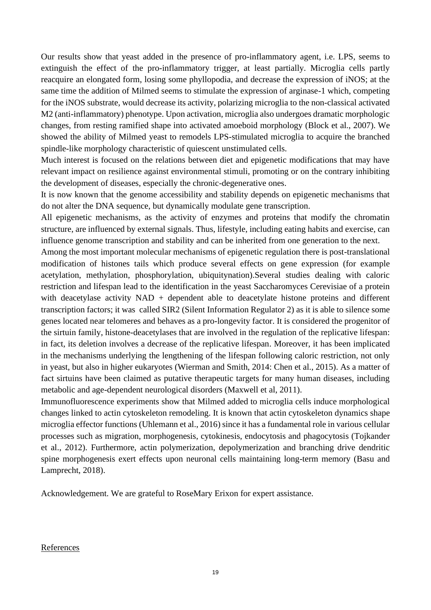Our results show that yeast added in the presence of pro-inflammatory agent, i.e. LPS, seems to extinguish the effect of the pro-inflammatory trigger, at least partially. Microglia cells partly reacquire an elongated form, losing some phyllopodia, and decrease the expression of iNOS; at the same time the addition of Milmed seems to stimulate the expression of arginase-1 which, competing for the iNOS substrate, would decrease its activity, polarizing microglia to the non-classical activated M2 (anti-inflammatory) phenotype. Upon activation, microglia also undergoes dramatic morphologic changes, from resting ramified shape into activated amoeboid morphology (Block et al., 2007). We showed the ability of Milmed yeast to remodels LPS-stimulated microglia to acquire the branched spindle-like morphology characteristic of quiescent unstimulated cells.

Much interest is focused on the relations between diet and epigenetic modifications that may have relevant impact on resilience against environmental stimuli, promoting or on the contrary inhibiting the development of diseases, especially the chronic-degenerative ones.

It is now known that the genome accessibility and stability depends on epigenetic mechanisms that do not alter the DNA sequence, but dynamically modulate gene transcription.

All epigenetic mechanisms, as the activity of enzymes and proteins that modify the chromatin structure, are influenced by external signals. Thus, lifestyle, including eating habits and exercise, can influence genome transcription and stability and can be inherited from one generation to the next.

Among the most important molecular mechanisms of epigenetic regulation there is post-translational modification of histones tails which produce several effects on gene expression (for example acetylation, methylation, phosphorylation, ubiquitynation).Several studies dealing with caloric restriction and lifespan lead to the identification in the yeast Saccharomyces Cerevisiae of a protein with deacetylase activity  $NAD + dependent$  able to deacetylate histone proteins and different transcription factors; it was called SIR2 (Silent Information Regulator 2) as it is able to silence some genes located near telomeres and behaves as a pro-longevity factor. It is considered the progenitor of the sirtuin family, histone-deacetylases that are involved in the regulation of the replicative lifespan: in fact, its deletion involves a decrease of the replicative lifespan. Moreover, it has been implicated in the mechanisms underlying the lengthening of the lifespan following caloric restriction, not only in yeast, but also in higher eukaryotes (Wierman and Smith, 2014: Chen et al., 2015). As a matter of fact sirtuins have been claimed as putative therapeutic targets for many human diseases, including metabolic and age-dependent neurological disorders (Maxwell et al, 2011).

Immunofluorescence experiments show that Milmed added to microglia cells induce morphological changes linked to actin cytoskeleton remodeling. It is known that actin cytoskeleton dynamics shape microglia effector functions (Uhlemann et al., 2016) since it has a fundamental role in various cellular processes such as migration, morphogenesis, cytokinesis, endocytosis and phagocytosis (Tojkander et al., 2012). Furthermore, actin polymerization, depolymerization and branching drive dendritic spine morphogenesis exert effects upon neuronal cells maintaining long-term memory (Basu and Lamprecht, 2018).

Acknowledgement. We are grateful to RoseMary Erixon for expert assistance.

#### References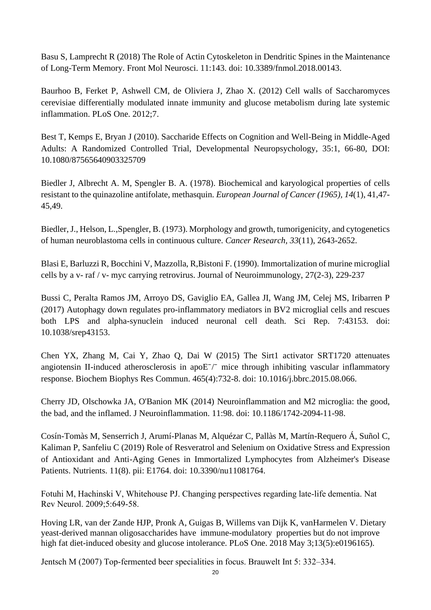Basu S, Lamprecht R (2018) [The Role of Actin Cytoskeleton in Dendritic Spines](https://www.ncbi.nlm.nih.gov/pubmed/29765302) in the Maintenance [of Long-Term Memory.](https://www.ncbi.nlm.nih.gov/pubmed/29765302) Front Mol Neurosci. 11:143. doi: 10.3389/fnmol.2018.00143.

Baurhoo B, Ferket P, Ashwell CM, de Oliviera J, Zhao X. (2012) Cell walls of Saccharomyces cerevisiae differentially modulated innate immunity and glucose metabolism during late systemic inflammation. PLoS One. 2012;7.

Best T, Kemps E, Bryan J (2010). Saccharide Effects on Cognition and Well-Being in Middle-Aged Adults: A Randomized Controlled Trial, Developmental Neuropsychology, 35:1, 66-80, DOI: 10.1080/87565640903325709

Biedler J, Albrecht A. M, Spengler B. A. (1978). Biochemical and karyological properties of cells resistant to the quinazoline antifolate, methasquin. *European Journal of Cancer (1965), 14*(1), 41,47- 45,49.

Biedler, J., Helson, L.,Spengler, B. (1973). Morphology and growth, tumorigenicity, and cytogenetics of human neuroblastoma cells in continuous culture. *Cancer Research, 33*(11), 2643-2652.

Blasi E, Barluzzi R, Bocchini V, Mazzolla, R,Bistoni F. (1990). Immortalization of murine microglial cells by a v- raf / v- myc carrying retrovirus. Journal of Neuroimmunology, 27(2-3), 229-237

Bussi C, Peralta Ramos JM, Arroyo DS, Gaviglio EA, Gallea JI, Wang JM, Celej MS, Iribarren P (2017) [Autophagy down regulates pro-inflammatory mediators in BV2 microglial cells and rescues](https://www.ncbi.nlm.nih.gov/pubmed/28256519)  [both LPS and alpha-synuclein induced neuronal cell death.](https://www.ncbi.nlm.nih.gov/pubmed/28256519) Sci Rep. 7:43153. doi: 10.1038/srep43153.

Chen YX, Zhang M, Cai Y, Zhao Q, Dai W (2015) [The Sirt1 activator SRT1720 attenuates](https://www.ncbi.nlm.nih.gov/pubmed/26296466)  angiotensin II-induced atherosclerosis in apo $E<sup>-/-</sup>$  mice through inhibiting vascular inflammatory [response.](https://www.ncbi.nlm.nih.gov/pubmed/26296466) Biochem Biophys Res Commun. 465(4):732-8. doi: 10.1016/j.bbrc.2015.08.066.

Cherry JD, Olschowka JA, O'Banion MK (2014) [Neuroinflammation and M2 microglia: the good,](https://www.ncbi.nlm.nih.gov/pubmed/24889886)  [the bad, and the inflamed.](https://www.ncbi.nlm.nih.gov/pubmed/24889886) J Neuroinflammation. 11:98. doi: 10.1186/1742-2094-11-98.

Cosín-Tomàs M, Senserrich J, Arumí-Planas M, Alquézar C, Pallàs M, Martín-Requero Á, Suñol C, Kaliman P, Sanfeliu C (2019) [Role of Resveratrol and Selenium on Oxidative Stress and Expression](https://www.ncbi.nlm.nih.gov/pubmed/31370365)  of Antioxidant and Anti-Aging [Genes in Immortalized Lymphocytes from Alzheimer's Disease](https://www.ncbi.nlm.nih.gov/pubmed/31370365)  [Patients.](https://www.ncbi.nlm.nih.gov/pubmed/31370365) Nutrients. 11(8). pii: E1764. doi: 10.3390/nu11081764.

Fotuhi M, Hachinski V, Whitehouse PJ. Changing perspectives regarding late-life dementia. Nat Rev Neurol. 2009;5:649-58.

Hoving LR, van der Zande HJP, Pronk A, Guigas B, Willems van Dijk K, vanHarmelen V. Dietary yeast-derived mannan oligosaccharides have immune-modulatory properties but do not improve high fat diet-induced obesity and glucose intolerance. PLoS One. 2018 May 3;13(5):e0196165).

Jentsch M (2007) Top-fermented beer specialities in focus. Brauwelt Int 5: 332–334.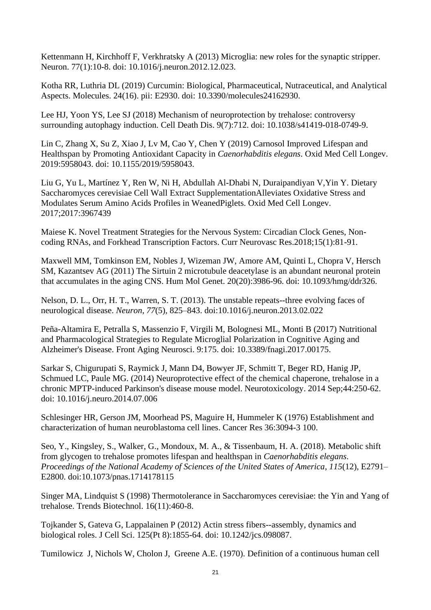Kettenmann H, Kirchhoff F, Verkhratsky A (2013) [Microglia: new roles for the synaptic stripper.](https://www.ncbi.nlm.nih.gov/pubmed/23312512) Neuron. 77(1):10-8. doi: 10.1016/j.neuron.2012.12.023.

Kotha RR, Luthria DL (2019) [Curcumin: Biological, Pharmaceutical, Nutraceutical, and Analytical](https://www.ncbi.nlm.nih.gov/pubmed/31412624)  [Aspects.](https://www.ncbi.nlm.nih.gov/pubmed/31412624) Molecules. 24(16). pii: E2930. doi: 10.3390/molecules24162930.

Lee HJ, Yoon YS, Lee SJ (2018) [Mechanism of neuroprotection by trehalose: controversy](https://www.ncbi.nlm.nih.gov/pubmed/29907758)  [surrounding autophagy induction.](https://www.ncbi.nlm.nih.gov/pubmed/29907758) Cell Death Dis. 9(7):712. doi: 10.1038/s41419-018-0749-9.

Lin C, Zhang X, Su Z, Xiao J, Lv M, Cao Y, Chen Y (2019) [Carnosol Improved Lifespan and](https://www.ncbi.nlm.nih.gov/pubmed/31341531)  [Healthspan by Promoting Antioxidant Capacity in](https://www.ncbi.nlm.nih.gov/pubmed/31341531) *Caenorhabditis elegans*. Oxid Med Cell Longev. 2019:5958043. doi: 10.1155/2019/5958043.

Liu G, Yu L, Martínez Y, Ren W, Ni H, Abdullah Al-Dhabi N, Duraipandiyan V,Yin Y. Dietary Saccharomyces cerevisiae Cell Wall Extract SupplementationAlleviates Oxidative Stress and Modulates Serum Amino Acids Profiles in WeanedPiglets. Oxid Med Cell Longev. 2017;2017:3967439

Maiese K. Novel Treatment Strategies for the Nervous System: Circadian Clock Genes, Noncoding RNAs, and Forkhead Transcription Factors. Curr Neurovasc Res.2018;15(1):81-91.

Maxwell MM, Tomkinson EM, Nobles J, Wizeman JW, Amore AM, Quinti L, Chopra V, Hersch SM, Kazantsev AG (2011) The Sirtuin [2 microtubule deacetylase is an abundant neuronal protein](https://www.ncbi.nlm.nih.gov/pubmed/21791548)  [that accumulates in the aging CNS.](https://www.ncbi.nlm.nih.gov/pubmed/21791548) Hum Mol Genet. 20(20):3986-96. doi: 10.1093/hmg/ddr326.

Nelson, D. L., Orr, H. T., Warren, S. T. (2013). The unstable repeats--three evolving faces of neurological disease. *Neuron*, *77*(5), 825–843. doi:10.1016/j.neuron.2013.02.022

Peña-Altamira E, Petralla S, Massenzio F, Virgili M, Bolognesi ML, Monti B (2017) [Nutritional](https://www.ncbi.nlm.nih.gov/pubmed/28638339)  [and Pharmacological Strategies to Regulate Microglial Polarization in Cognitive Aging and](https://www.ncbi.nlm.nih.gov/pubmed/28638339)  [Alzheimer's Disease.](https://www.ncbi.nlm.nih.gov/pubmed/28638339) Front Aging Neurosci. 9:175. doi: 10.3389/fnagi.2017.00175.

Sarkar S, Chigurupati S, Raymick J, Mann D4, Bowyer JF, Schmitt T, Beger RD, Hanig JP, Schmued LC, Paule MG. (2014) Neuroprotective effect of the chemical chaperone, trehalose in a chronic MPTP-induced Parkinson's disease mouse model. Neurotoxicology. 2014 Sep;44:250-62. doi: 10.1016/j.neuro.2014.07.006

Schlesinger HR, Gerson JM, Moorhead PS, Maguire H, Hummeler K (1976) Establishment and characterization of human neuroblastoma cell lines. Cancer Res 36:3094-3 100.

Seo, Y., Kingsley, S., Walker, G., Mondoux, M. A., & Tissenbaum, H. A. (2018). Metabolic shift from glycogen to trehalose promotes lifespan and healthspan in *Caenorhabditis elegans*. *Proceedings of the National Academy of Sciences of the United States of America*, *115*(12), E2791– E2800. doi:10.1073/pnas.1714178115

Singer MA, Lindquist S (1998) [Thermotolerance in Saccharomyces cerevisiae: the Yin and Yang of](https://www.ncbi.nlm.nih.gov/pubmed/9830154)  [trehalose.](https://www.ncbi.nlm.nih.gov/pubmed/9830154) Trends Biotechnol. 16(11):460-8.

Tojkander S, Gateva G, Lappalainen P (2012) [Actin stress fibers--assembly, dynamics and](https://www.ncbi.nlm.nih.gov/pubmed/22544950)  [biological roles.](https://www.ncbi.nlm.nih.gov/pubmed/22544950) J Cell Sci. 125(Pt 8):1855-64. doi: 10.1242/jcs.098087.

Tumilowicz J, Nichols W, Cholon J, Greene A.E. (1970). Definition of a continuous human cell